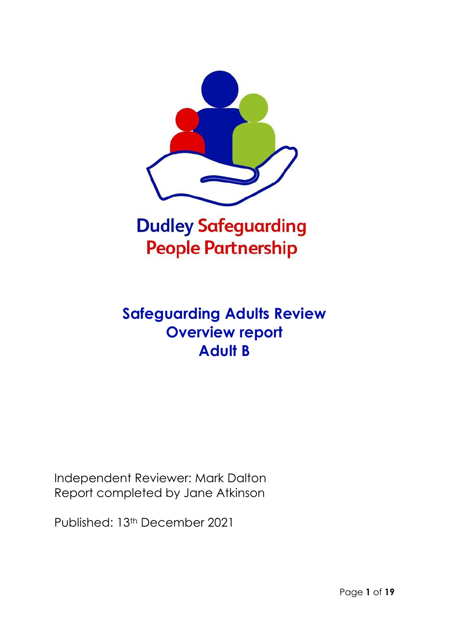

# **People Partnership**

# **Safeguarding Adults Review Overview report Adult B**

Independent Reviewer: Mark Dalton Report completed by Jane Atkinson

Published: 13th December 2021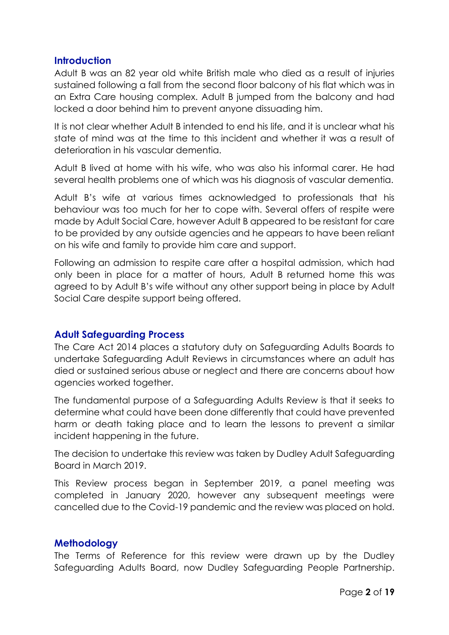#### **Introduction**

Adult B was an 82 year old white British male who died as a result of injuries sustained following a fall from the second floor balcony of his flat which was in an Extra Care housing complex. Adult B jumped from the balcony and had locked a door behind him to prevent anyone dissuading him.

It is not clear whether Adult B intended to end his life, and it is unclear what his state of mind was at the time to this incident and whether it was a result of deterioration in his vascular dementia.

Adult B lived at home with his wife, who was also his informal carer. He had several health problems one of which was his diagnosis of vascular dementia.

Adult B's wife at various times acknowledged to professionals that his behaviour was too much for her to cope with. Several offers of respite were made by Adult Social Care, however Adult B appeared to be resistant for care to be provided by any outside agencies and he appears to have been reliant on his wife and family to provide him care and support.

Following an admission to respite care after a hospital admission, which had only been in place for a matter of hours, Adult B returned home this was agreed to by Adult B's wife without any other support being in place by Adult Social Care despite support being offered.

#### **Adult Safeguarding Process**

The Care Act 2014 places a statutory duty on Safeguarding Adults Boards to undertake Safeguarding Adult Reviews in circumstances where an adult has died or sustained serious abuse or neglect and there are concerns about how agencies worked together.

The fundamental purpose of a Safeguarding Adults Review is that it seeks to determine what could have been done differently that could have prevented harm or death taking place and to learn the lessons to prevent a similar incident happening in the future.

The decision to undertake this review was taken by Dudley Adult Safeguarding Board in March 2019.

This Review process began in September 2019, a panel meeting was completed in January 2020, however any subsequent meetings were cancelled due to the Covid-19 pandemic and the review was placed on hold.

#### **Methodology**

The Terms of Reference for this review were drawn up by the Dudley Safeguarding Adults Board, now Dudley Safeguarding People Partnership.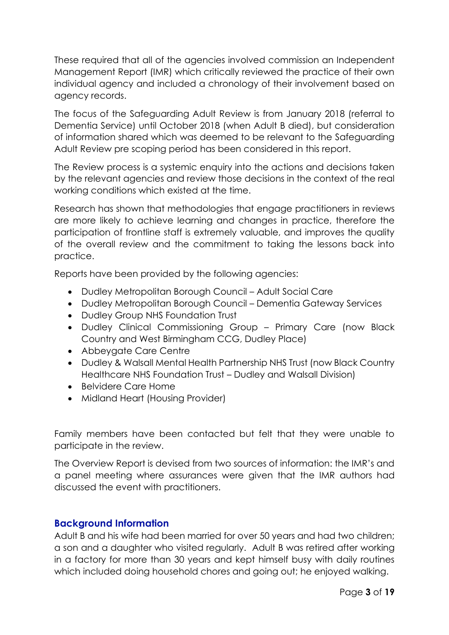These required that all of the agencies involved commission an Independent Management Report (IMR) which critically reviewed the practice of their own individual agency and included a chronology of their involvement based on agency records.

The focus of the Safeguarding Adult Review is from January 2018 (referral to Dementia Service) until October 2018 (when Adult B died), but consideration of information shared which was deemed to be relevant to the Safeguarding Adult Review pre scoping period has been considered in this report.

The Review process is a systemic enquiry into the actions and decisions taken by the relevant agencies and review those decisions in the context of the real working conditions which existed at the time.

Research has shown that methodologies that engage practitioners in reviews are more likely to achieve learning and changes in practice, therefore the participation of frontline staff is extremely valuable, and improves the quality of the overall review and the commitment to taking the lessons back into practice.

Reports have been provided by the following agencies:

- Dudley Metropolitan Borough Council Adult Social Care
- Dudley Metropolitan Borough Council Dementia Gateway Services
- Dudley Group NHS Foundation Trust
- Dudley Clinical Commissioning Group Primary Care (now Black Country and West Birmingham CCG, Dudley Place)
- Abbeygate Care Centre
- Dudley & Walsall Mental Health Partnership NHS Trust (now Black Country Healthcare NHS Foundation Trust – Dudley and Walsall Division)
- Belvidere Care Home
- Midland Heart (Housing Provider)

Family members have been contacted but felt that they were unable to participate in the review.

The Overview Report is devised from two sources of information: the IMR's and a panel meeting where assurances were given that the IMR authors had discussed the event with practitioners.

# **Background Information**

Adult B and his wife had been married for over 50 years and had two children; a son and a daughter who visited regularly. Adult B was retired after working in a factory for more than 30 years and kept himself busy with daily routines which included doing household chores and going out; he enjoyed walking.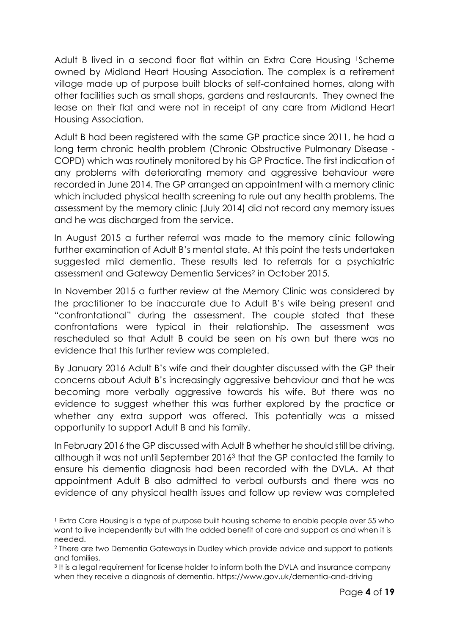Adult B lived in a second floor flat within an Extra Care Housing 1Scheme owned by Midland Heart Housing Association. The complex is a retirement village made up of purpose built blocks of self-contained homes, along with other facilities such as small shops, gardens and restaurants. They owned the lease on their flat and were not in receipt of any care from Midland Heart Housing Association.

Adult B had been registered with the same GP practice since 2011, he had a long term chronic health problem (Chronic Obstructive Pulmonary Disease - COPD) which was routinely monitored by his GP Practice. The first indication of any problems with deteriorating memory and aggressive behaviour were recorded in June 2014. The GP arranged an appointment with a memory clinic which included physical health screening to rule out any health problems. The assessment by the memory clinic (July 2014) did not record any memory issues and he was discharged from the service.

In August 2015 a further referral was made to the memory clinic following further examination of Adult B's mental state. At this point the tests undertaken suggested mild dementia. These results led to referrals for a psychiatric assessment and Gateway Dementia Services<sup>2</sup> in October 2015.

In November 2015 a further review at the Memory Clinic was considered by the practitioner to be inaccurate due to Adult B's wife being present and "confrontational" during the assessment. The couple stated that these confrontations were typical in their relationship. The assessment was rescheduled so that Adult B could be seen on his own but there was no evidence that this further review was completed.

By January 2016 Adult B's wife and their daughter discussed with the GP their concerns about Adult B's increasingly aggressive behaviour and that he was becoming more verbally aggressive towards his wife. But there was no evidence to suggest whether this was further explored by the practice or whether any extra support was offered. This potentially was a missed opportunity to support Adult B and his family.

In February 2016 the GP discussed with Adult B whether he should still be driving, although it was not until September 2016<sup>3</sup> that the GP contacted the family to ensure his dementia diagnosis had been recorded with the DVLA. At that appointment Adult B also admitted to verbal outbursts and there was no evidence of any physical health issues and follow up review was completed

<sup>1</sup> Extra Care Housing is a type of purpose built housing scheme to enable people over 55 who want to live independently but with the added benefit of care and support as and when it is needed.

<sup>2</sup> There are two Dementia Gateways in Dudley which provide advice and support to patients and families.

<sup>3</sup> It is a legal requirement for license holder to inform both the DVLA and insurance company when they receive a diagnosis of dementia. https://www.gov.uk/dementia-and-driving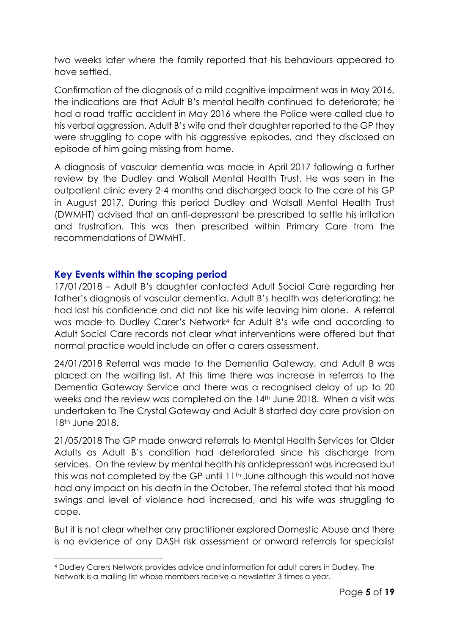two weeks later where the family reported that his behaviours appeared to have settled.

Confirmation of the diagnosis of a mild cognitive impairment was in May 2016, the indications are that Adult B's mental health continued to deteriorate; he had a road traffic accident in May 2016 where the Police were called due to his verbal aggression. Adult B's wife and their daughter reported to the GP they were struggling to cope with his aggressive episodes, and they disclosed an episode of him going missing from home.

A diagnosis of vascular dementia was made in April 2017 following a further review by the Dudley and Walsall Mental Health Trust. He was seen in the outpatient clinic every 2-4 months and discharged back to the care of his GP in August 2017. During this period Dudley and Walsall Mental Health Trust (DWMHT) advised that an anti-depressant be prescribed to settle his irritation and frustration. This was then prescribed within Primary Care from the recommendations of DWMHT.

# **Key Events within the scoping period**

17/01/2018 – Adult B's daughter contacted Adult Social Care regarding her father's diagnosis of vascular dementia. Adult B's health was deteriorating; he had lost his confidence and did not like his wife leaving him alone. A referral was made to Dudley Carer's Network<sup>4</sup> for Adult B's wife and according to Adult Social Care records not clear what interventions were offered but that normal practice would include an offer a carers assessment.

24/01/2018 Referral was made to the Dementia Gateway, and Adult B was placed on the waiting list. At this time there was increase in referrals to the Dementia Gateway Service and there was a recognised delay of up to 20 weeks and the review was completed on the 14<sup>th</sup> June 2018. When a visit was undertaken to The Crystal Gateway and Adult B started day care provision on 18<sup>th</sup> June 2018.

21/05/2018 The GP made onward referrals to Mental Health Services for Older Adults as Adult B's condition had deteriorated since his discharge from services. On the review by mental health his antidepressant was increased but this was not completed by the GP until 11th June although this would not have had any impact on his death in the October. The referral stated that his mood swings and level of violence had increased, and his wife was struggling to cope.

But it is not clear whether any practitioner explored Domestic Abuse and there is no evidence of any DASH risk assessment or onward referrals for specialist

<sup>4</sup> Dudley Carers Network provides advice and information for adult carers in Dudley. The Network is a mailing list whose members receive a newsletter 3 times a year.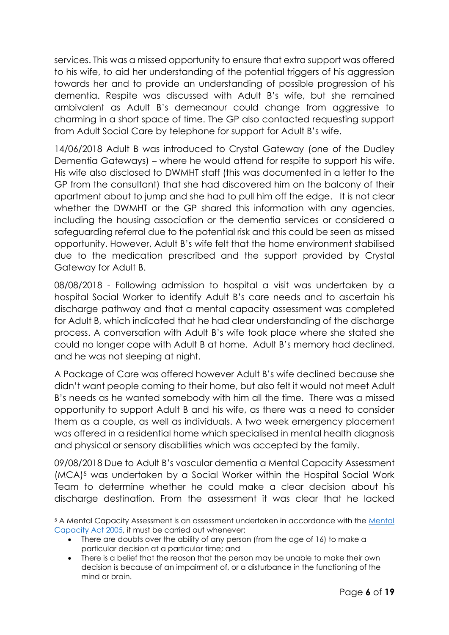services. This was a missed opportunity to ensure that extra support was offered to his wife, to aid her understanding of the potential triggers of his aggression towards her and to provide an understanding of possible progression of his dementia. Respite was discussed with Adult B's wife, but she remained ambivalent as Adult B's demeanour could change from aggressive to charming in a short space of time. The GP also contacted requesting support from Adult Social Care by telephone for support for Adult B's wife.

14/06/2018 Adult B was introduced to Crystal Gateway (one of the Dudley Dementia Gateways) – where he would attend for respite to support his wife. His wife also disclosed to DWMHT staff (this was documented in a letter to the GP from the consultant) that she had discovered him on the balcony of their apartment about to jump and she had to pull him off the edge. It is not clear whether the DWMHT or the GP shared this information with any agencies, including the housing association or the dementia services or considered a safeguarding referral due to the potential risk and this could be seen as missed opportunity. However, Adult B's wife felt that the home environment stabilised due to the medication prescribed and the support provided by Crystal Gateway for Adult B.

08/08/2018 - Following admission to hospital a visit was undertaken by a hospital Social Worker to identify Adult B's care needs and to ascertain his discharge pathway and that a mental capacity assessment was completed for Adult B, which indicated that he had clear understanding of the discharge process. A conversation with Adult B's wife took place where she stated she could no longer cope with Adult B at home. Adult B's memory had declined, and he was not sleeping at night.

A Package of Care was offered however Adult B's wife declined because she didn't want people coming to their home, but also felt it would not meet Adult B's needs as he wanted somebody with him all the time. There was a missed opportunity to support Adult B and his wife, as there was a need to consider them as a couple, as well as individuals. A two week emergency placement was offered in a residential home which specialised in mental health diagnosis and physical or sensory disabilities which was accepted by the family.

09/08/2018 Due to Adult B's vascular dementia a Mental Capacity Assessment (MCA)<sup>5</sup> was undertaken by a Social Worker within the Hospital Social Work Team to determine whether he could make a clear decision about his discharge destination. From the assessment it was clear that he lacked

<sup>5</sup> A Mental Capacity Assessment is an assessment undertaken in accordance with the [Mental](http://www.legislation.gov.uk/ukpga/2005/9/contents)  [Capacity Act 2005,](http://www.legislation.gov.uk/ukpga/2005/9/contents) it must be carried out whenever;

There are doubts over the ability of any person (from the age of 16) to make a particular decision at a particular time; and

<sup>•</sup> There is a belief that the reason that the person may be unable to make their own decision is because of an impairment of, or a disturbance in the functioning of the mind or brain.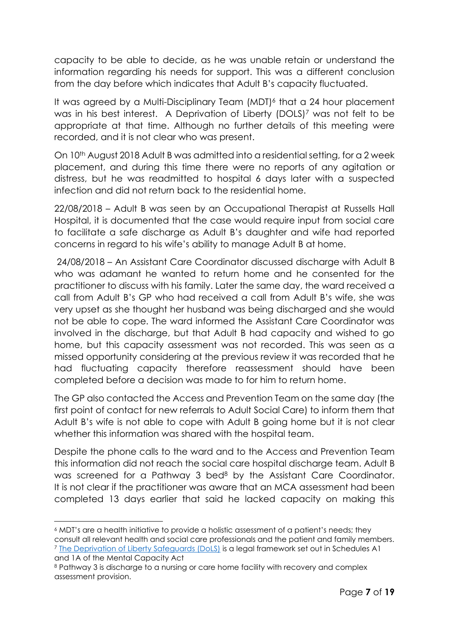capacity to be able to decide, as he was unable retain or understand the information regarding his needs for support. This was a different conclusion from the day before which indicates that Adult B's capacity fluctuated.

It was agreed by a Multi-Disciplinary Team (MDT)<sup>6</sup> that a 24 hour placement was in his best interest. A Deprivation of Liberty (DOLS)<sup>7</sup> was not felt to be appropriate at that time. Although no further details of this meeting were recorded, and it is not clear who was present.

On 10th August 2018 Adult B was admitted into a residential setting, for a 2 week placement, and during this time there were no reports of any agitation or distress, but he was readmitted to hospital 6 days later with a suspected infection and did not return back to the residential home.

22/08/2018 – Adult B was seen by an Occupational Therapist at Russells Hall Hospital, it is documented that the case would require input from social care to facilitate a safe discharge as Adult B's daughter and wife had reported concerns in regard to his wife's ability to manage Adult B at home.

24/08/2018 – An Assistant Care Coordinator discussed discharge with Adult B who was adamant he wanted to return home and he consented for the practitioner to discuss with his family. Later the same day, the ward received a call from Adult B's GP who had received a call from Adult B's wife, she was very upset as she thought her husband was being discharged and she would not be able to cope. The ward informed the Assistant Care Coordinator was involved in the discharge, but that Adult B had capacity and wished to go home, but this capacity assessment was not recorded. This was seen as a missed opportunity considering at the previous review it was recorded that he had fluctuating capacity therefore reassessment should have been completed before a decision was made to for him to return home.

The GP also contacted the Access and Prevention Team on the same day (the first point of contact for new referrals to Adult Social Care) to inform them that Adult B's wife is not able to cope with Adult B going home but it is not clear whether this information was shared with the hospital team.

Despite the phone calls to the ward and to the Access and Prevention Team this information did not reach the social care hospital discharge team. Adult B was screened for a Pathway 3 bed<sup>8</sup> by the Assistant Care Coordinator. It is not clear if the practitioner was aware that an MCA assessment had been completed 13 days earlier that said he lacked capacity on making this

<sup>6</sup> MDT's are a health initiative to provide a holistic assessment of a patient's needs; they consult all relevant health and social care professionals and the patient and family members. <sup>7</sup> [The Deprivation of Liberty Safeguards \(DoLS\)](https://webarchive.nationalarchives.gov.uk/20130105062314/http:/www.dh.gov.uk/prod_consum_dh/groups/dh_digitalassets/@dh/@en/documents/digitalasset/dh_087309.pdf) is a legal framework set out in Schedules A1 and 1A of the Mental Capacity Act

<sup>8</sup> Pathway 3 is discharge to a nursing or care home facility with recovery and complex assessment provision.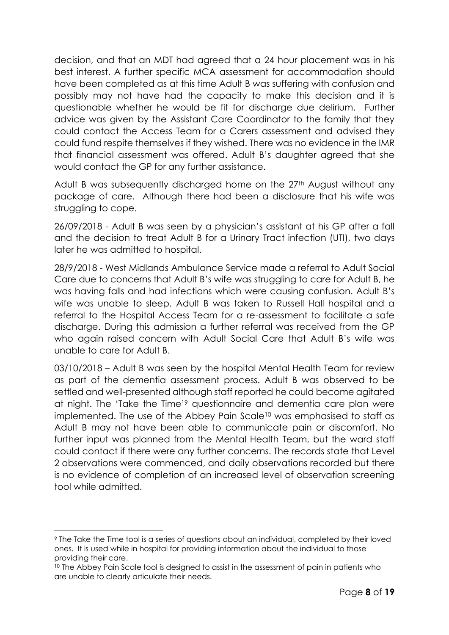decision, and that an MDT had agreed that a 24 hour placement was in his best interest. A further specific MCA assessment for accommodation should have been completed as at this time Adult B was suffering with confusion and possibly may not have had the capacity to make this decision and it is questionable whether he would be fit for discharge due delirium. Further advice was given by the Assistant Care Coordinator to the family that they could contact the Access Team for a Carers assessment and advised they could fund respite themselves if they wished. There was no evidence in the IMR that financial assessment was offered. Adult B's daughter agreed that she would contact the GP for any further assistance.

Adult B was subsequently discharged home on the 27<sup>th</sup> August without any package of care. Although there had been a disclosure that his wife was struggling to cope.

26/09/2018 - Adult B was seen by a physician's assistant at his GP after a fall and the decision to treat Adult B for a Urinary Tract infection (UTI), two days later he was admitted to hospital.

28/9/2018 - West Midlands Ambulance Service made a referral to Adult Social Care due to concerns that Adult B's wife was struggling to care for Adult B, he was having falls and had infections which were causing confusion. Adult B's wife was unable to sleep. Adult B was taken to Russell Hall hospital and a referral to the Hospital Access Team for a re-assessment to facilitate a safe discharge. During this admission a further referral was received from the GP who again raised concern with Adult Social Care that Adult B's wife was unable to care for Adult B.

03/10/2018 – Adult B was seen by the hospital Mental Health Team for review as part of the dementia assessment process. Adult B was observed to be settled and well-presented although staff reported he could become agitated at night. The 'Take the Time'<sup>9</sup> questionnaire and dementia care plan were implemented. The use of the Abbey Pain Scale<sup>10</sup> was emphasised to staff as Adult B may not have been able to communicate pain or discomfort. No further input was planned from the Mental Health Team, but the ward staff could contact if there were any further concerns. The records state that Level 2 observations were commenced, and daily observations recorded but there is no evidence of completion of an increased level of observation screening tool while admitted.

<sup>9</sup> The Take the Time tool is a series of questions about an individual, completed by their loved ones. It is used while in hospital for providing information about the individual to those providing their care.

<sup>&</sup>lt;sup>10</sup> The Abbey Pain Scale tool is designed to assist in the assessment of pain in patients who are unable to clearly articulate their needs.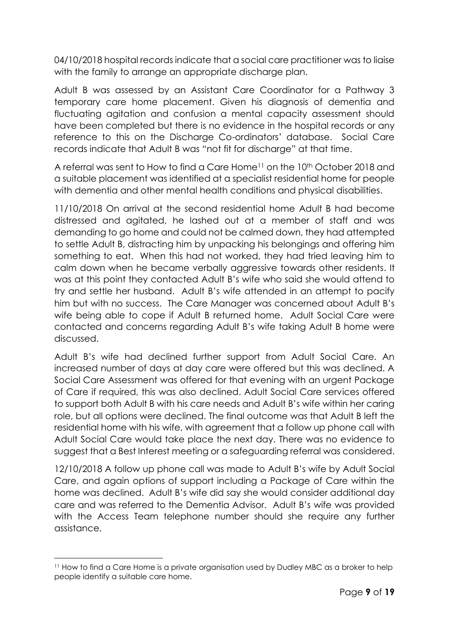04/10/2018 hospital records indicate that a social care practitioner was to liaise with the family to arrange an appropriate discharge plan.

Adult B was assessed by an Assistant Care Coordinator for a Pathway 3 temporary care home placement. Given his diagnosis of dementia and fluctuating agitation and confusion a mental capacity assessment should have been completed but there is no evidence in the hospital records or any reference to this on the Discharge Co-ordinators' database. Social Care records indicate that Adult B was "not fit for discharge" at that time.

A referral was sent to How to find a Care Home<sup>11</sup> on the 10th October 2018 and a suitable placement was identified at a specialist residential home for people with dementia and other mental health conditions and physical disabilities.

11/10/2018 On arrival at the second residential home Adult B had become distressed and agitated, he lashed out at a member of staff and was demanding to go home and could not be calmed down, they had attempted to settle Adult B, distracting him by unpacking his belongings and offering him something to eat. When this had not worked, they had tried leaving him to calm down when he became verbally aggressive towards other residents. It was at this point they contacted Adult B's wife who said she would attend to try and settle her husband. Adult B's wife attended in an attempt to pacify him but with no success. The Care Manager was concerned about Adult B's wife being able to cope if Adult B returned home. Adult Social Care were contacted and concerns regarding Adult B's wife taking Adult B home were discussed.

Adult B's wife had declined further support from Adult Social Care. An increased number of days at day care were offered but this was declined. A Social Care Assessment was offered for that evening with an urgent Package of Care if required, this was also declined. Adult Social Care services offered to support both Adult B with his care needs and Adult B's wife within her caring role, but all options were declined. The final outcome was that Adult B left the residential home with his wife, with agreement that a follow up phone call with Adult Social Care would take place the next day. There was no evidence to suggest that a Best Interest meeting or a safeguarding referral was considered.

12/10/2018 A follow up phone call was made to Adult B's wife by Adult Social Care, and again options of support including a Package of Care within the home was declined. Adult B's wife did say she would consider additional day care and was referred to the Dementia Advisor. Adult B's wife was provided with the Access Team telephone number should she require any further assistance.

<sup>11</sup> How to find a Care Home is a private organisation used by Dudley MBC as a broker to help people identify a suitable care home.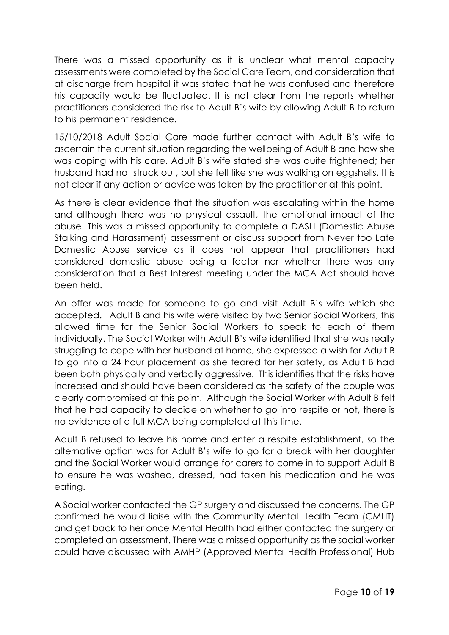There was a missed opportunity as it is unclear what mental capacity assessments were completed by the Social Care Team, and consideration that at discharge from hospital it was stated that he was confused and therefore his capacity would be fluctuated. It is not clear from the reports whether practitioners considered the risk to Adult B's wife by allowing Adult B to return to his permanent residence.

15/10/2018 Adult Social Care made further contact with Adult B's wife to ascertain the current situation regarding the wellbeing of Adult B and how she was coping with his care. Adult B's wife stated she was quite frightened; her husband had not struck out, but she felt like she was walking on eggshells. It is not clear if any action or advice was taken by the practitioner at this point.

As there is clear evidence that the situation was escalating within the home and although there was no physical assault, the emotional impact of the abuse. This was a missed opportunity to complete a DASH (Domestic Abuse Stalking and Harassment) assessment or discuss support from Never too Late Domestic Abuse service as it does not appear that practitioners had considered domestic abuse being a factor nor whether there was any consideration that a Best Interest meeting under the MCA Act should have been held.

An offer was made for someone to go and visit Adult B's wife which she accepted. Adult B and his wife were visited by two Senior Social Workers, this allowed time for the Senior Social Workers to speak to each of them individually. The Social Worker with Adult B's wife identified that she was really struggling to cope with her husband at home, she expressed a wish for Adult B to go into a 24 hour placement as she feared for her safety, as Adult B had been both physically and verbally aggressive. This identifies that the risks have increased and should have been considered as the safety of the couple was clearly compromised at this point. Although the Social Worker with Adult B felt that he had capacity to decide on whether to go into respite or not, there is no evidence of a full MCA being completed at this time.

Adult B refused to leave his home and enter a respite establishment, so the alternative option was for Adult B's wife to go for a break with her daughter and the Social Worker would arrange for carers to come in to support Adult B to ensure he was washed, dressed, had taken his medication and he was eating.

A Social worker contacted the GP surgery and discussed the concerns. The GP confirmed he would liaise with the Community Mental Health Team (CMHT) and get back to her once Mental Health had either contacted the surgery or completed an assessment. There was a missed opportunity as the social worker could have discussed with AMHP (Approved Mental Health Professional) Hub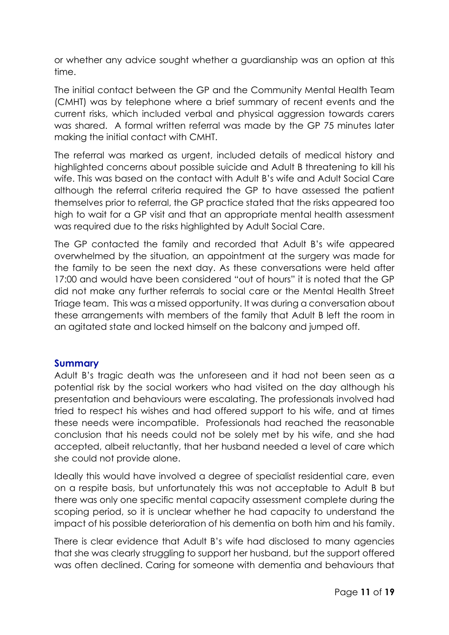or whether any advice sought whether a guardianship was an option at this time.

The initial contact between the GP and the Community Mental Health Team (CMHT) was by telephone where a brief summary of recent events and the current risks, which included verbal and physical aggression towards carers was shared. A formal written referral was made by the GP 75 minutes later making the initial contact with CMHT.

The referral was marked as urgent, included details of medical history and highlighted concerns about possible suicide and Adult B threatening to kill his wife. This was based on the contact with Adult B's wife and Adult Social Care although the referral criteria required the GP to have assessed the patient themselves prior to referral, the GP practice stated that the risks appeared too high to wait for a GP visit and that an appropriate mental health assessment was required due to the risks highlighted by Adult Social Care.

The GP contacted the family and recorded that Adult B's wife appeared overwhelmed by the situation, an appointment at the surgery was made for the family to be seen the next day. As these conversations were held after 17:00 and would have been considered "out of hours" it is noted that the GP did not make any further referrals to social care or the Mental Health Street Triage team. This was a missed opportunity. It was during a conversation about these arrangements with members of the family that Adult B left the room in an agitated state and locked himself on the balcony and jumped off.

#### **Summary**

Adult B's tragic death was the unforeseen and it had not been seen as a potential risk by the social workers who had visited on the day although his presentation and behaviours were escalating. The professionals involved had tried to respect his wishes and had offered support to his wife, and at times these needs were incompatible. Professionals had reached the reasonable conclusion that his needs could not be solely met by his wife, and she had accepted, albeit reluctantly, that her husband needed a level of care which she could not provide alone.

Ideally this would have involved a degree of specialist residential care, even on a respite basis, but unfortunately this was not acceptable to Adult B but there was only one specific mental capacity assessment complete during the scoping period, so it is unclear whether he had capacity to understand the impact of his possible deterioration of his dementia on both him and his family.

There is clear evidence that Adult B's wife had disclosed to many agencies that she was clearly struggling to support her husband, but the support offered was often declined. Caring for someone with dementia and behaviours that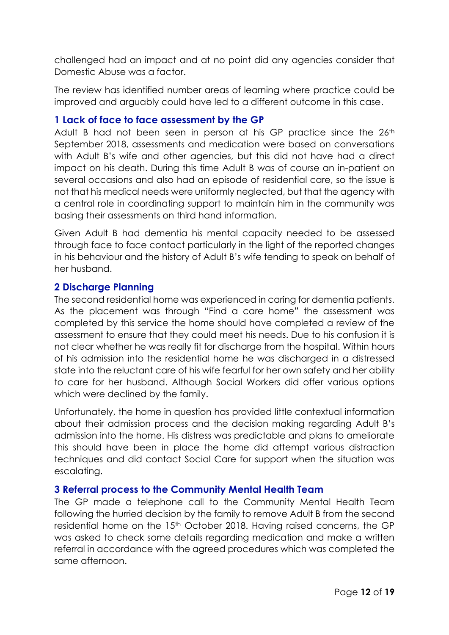challenged had an impact and at no point did any agencies consider that Domestic Abuse was a factor.

The review has identified number areas of learning where practice could be improved and arguably could have led to a different outcome in this case.

#### **1 Lack of face to face assessment by the GP**

Adult B had not been seen in person at his GP practice since the 26<sup>th</sup> September 2018, assessments and medication were based on conversations with Adult B's wife and other agencies, but this did not have had a direct impact on his death. During this time Adult B was of course an in-patient on several occasions and also had an episode of residential care, so the issue is not that his medical needs were uniformly neglected, but that the agency with a central role in coordinating support to maintain him in the community was basing their assessments on third hand information.

Given Adult B had dementia his mental capacity needed to be assessed through face to face contact particularly in the light of the reported changes in his behaviour and the history of Adult B's wife tending to speak on behalf of her husband.

#### **2 Discharge Planning**

The second residential home was experienced in caring for dementia patients. As the placement was through "Find a care home" the assessment was completed by this service the home should have completed a review of the assessment to ensure that they could meet his needs. Due to his confusion it is not clear whether he was really fit for discharge from the hospital. Within hours of his admission into the residential home he was discharged in a distressed state into the reluctant care of his wife fearful for her own safety and her ability to care for her husband. Although Social Workers did offer various options which were declined by the family.

Unfortunately, the home in question has provided little contextual information about their admission process and the decision making regarding Adult B's admission into the home. His distress was predictable and plans to ameliorate this should have been in place the home did attempt various distraction techniques and did contact Social Care for support when the situation was escalating.

# **3 Referral process to the Community Mental Health Team**

The GP made a telephone call to the Community Mental Health Team following the hurried decision by the family to remove Adult B from the second residential home on the 15<sup>th</sup> October 2018. Having raised concerns, the GP was asked to check some details regarding medication and make a written referral in accordance with the agreed procedures which was completed the same afternoon.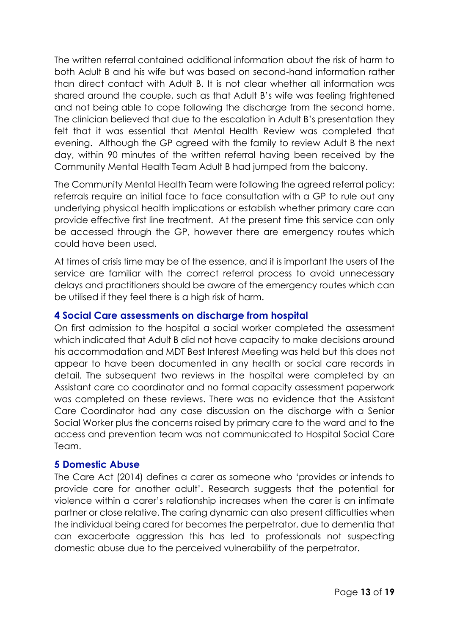The written referral contained additional information about the risk of harm to both Adult B and his wife but was based on second-hand information rather than direct contact with Adult B. It is not clear whether all information was shared around the couple, such as that Adult B's wife was feeling frightened and not being able to cope following the discharge from the second home. The clinician believed that due to the escalation in Adult B's presentation they felt that it was essential that Mental Health Review was completed that evening. Although the GP agreed with the family to review Adult B the next day, within 90 minutes of the written referral having been received by the Community Mental Health Team Adult B had jumped from the balcony.

The Community Mental Health Team were following the agreed referral policy; referrals require an initial face to face consultation with a GP to rule out any underlying physical health implications or establish whether primary care can provide effective first line treatment. At the present time this service can only be accessed through the GP, however there are emergency routes which could have been used.

At times of crisis time may be of the essence, and it is important the users of the service are familiar with the correct referral process to avoid unnecessary delays and practitioners should be aware of the emergency routes which can be utilised if they feel there is a high risk of harm.

# **4 Social Care assessments on discharge from hospital**

On first admission to the hospital a social worker completed the assessment which indicated that Adult B did not have capacity to make decisions around his accommodation and MDT Best Interest Meeting was held but this does not appear to have been documented in any health or social care records in detail. The subsequent two reviews in the hospital were completed by an Assistant care co coordinator and no formal capacity assessment paperwork was completed on these reviews. There was no evidence that the Assistant Care Coordinator had any case discussion on the discharge with a Senior Social Worker plus the concerns raised by primary care to the ward and to the access and prevention team was not communicated to Hospital Social Care Team.

#### **5 Domestic Abuse**

The Care Act (2014) defines a carer as someone who 'provides or intends to provide care for another adult'. Research suggests that the potential for violence within a carer's relationship increases when the carer is an intimate partner or close relative. The caring dynamic can also present difficulties when the individual being cared for becomes the perpetrator, due to dementia that can exacerbate aggression this has led to professionals not suspecting domestic abuse due to the perceived vulnerability of the perpetrator.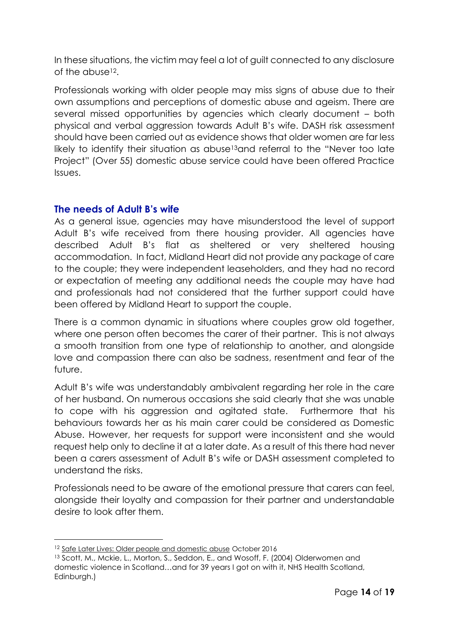In these situations, the victim may feel a lot of guilt connected to any disclosure of the abuse12.

Professionals working with older people may miss signs of abuse due to their own assumptions and perceptions of domestic abuse and ageism. There are several missed opportunities by agencies which clearly document – both physical and verbal aggression towards Adult B's wife. DASH risk assessment should have been carried out as evidence shows that older women are far less likely to identify their situation as abuse13and referral to the "Never too late Project" (Over 55) domestic abuse service could have been offered Practice Issues.

#### **The needs of Adult B's wife**

As a general issue, agencies may have misunderstood the level of support Adult B's wife received from there housing provider. All agencies have described Adult B's flat as sheltered or very sheltered housing accommodation. In fact, Midland Heart did not provide any package of care to the couple; they were independent leaseholders, and they had no record or expectation of meeting any additional needs the couple may have had and professionals had not considered that the further support could have been offered by Midland Heart to support the couple.

There is a common dynamic in situations where couples grow old together, where one person often becomes the carer of their partner. This is not always a smooth transition from one type of relationship to another, and alongside love and compassion there can also be sadness, resentment and fear of the future.

Adult B's wife was understandably ambivalent regarding her role in the care of her husband. On numerous occasions she said clearly that she was unable to cope with his aggression and agitated state. Furthermore that his behaviours towards her as his main carer could be considered as Domestic Abuse. However, her requests for support were inconsistent and she would request help only to decline it at a later date. As a result of this there had never been a carers assessment of Adult B's wife or DASH assessment completed to understand the risks.

Professionals need to be aware of the emotional pressure that carers can feel, alongside their loyalty and compassion for their partner and understandable desire to look after them.

<sup>&</sup>lt;sup>12</sup> [Safe Later Lives: Older people and domestic abuse](https://safelives.org.uk/sites/default/files/resources/Safe%20Later%20Lives%20-%20Older%20people%20and%20domestic%20abuse.pdf) October 2016

<sup>13</sup> Scott, M., Mckie, L., Morton, S., Seddon, E., and Wosoff, F. (2004) Olderwomen and domestic violence in Scotland…and for 39 years I got on with it, NHS Health Scotland, Edinburgh.)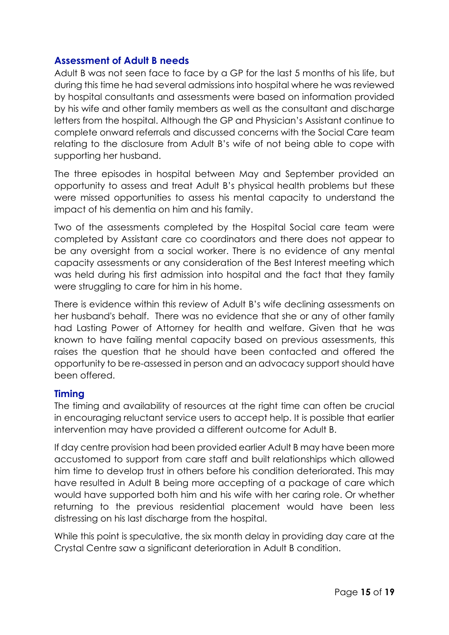# **Assessment of Adult B needs**

Adult B was not seen face to face by a GP for the last 5 months of his life, but during this time he had several admissions into hospital where he was reviewed by hospital consultants and assessments were based on information provided by his wife and other family members as well as the consultant and discharge letters from the hospital. Although the GP and Physician's Assistant continue to complete onward referrals and discussed concerns with the Social Care team relating to the disclosure from Adult B's wife of not being able to cope with supporting her husband.

The three episodes in hospital between May and September provided an opportunity to assess and treat Adult B's physical health problems but these were missed opportunities to assess his mental capacity to understand the impact of his dementia on him and his family.

Two of the assessments completed by the Hospital Social care team were completed by Assistant care co coordinators and there does not appear to be any oversight from a social worker. There is no evidence of any mental capacity assessments or any consideration of the Best Interest meeting which was held during his first admission into hospital and the fact that they family were struggling to care for him in his home.

There is evidence within this review of Adult B's wife declining assessments on her husband's behalf. There was no evidence that she or any of other family had Lasting Power of Attorney for health and welfare. Given that he was known to have failing mental capacity based on previous assessments, this raises the question that he should have been contacted and offered the opportunity to be re-assessed in person and an advocacy support should have been offered.

#### **Timing**

The timing and availability of resources at the right time can often be crucial in encouraging reluctant service users to accept help. It is possible that earlier intervention may have provided a different outcome for Adult B.

If day centre provision had been provided earlier Adult B may have been more accustomed to support from care staff and built relationships which allowed him time to develop trust in others before his condition deteriorated. This may have resulted in Adult B being more accepting of a package of care which would have supported both him and his wife with her caring role. Or whether returning to the previous residential placement would have been less distressing on his last discharge from the hospital.

While this point is speculative, the six month delay in providing day care at the Crystal Centre saw a significant deterioration in Adult B condition.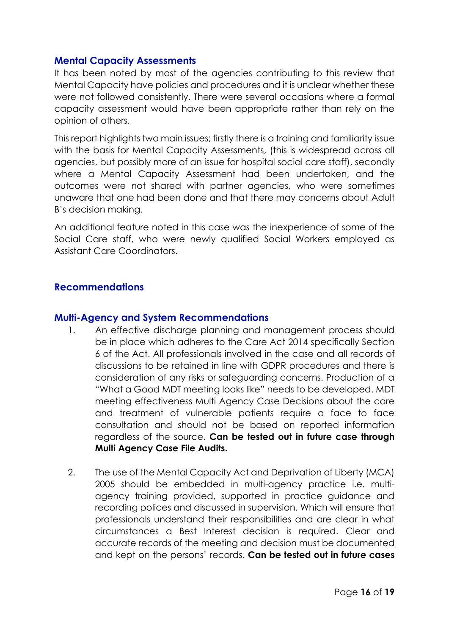#### **Mental Capacity Assessments**

It has been noted by most of the agencies contributing to this review that Mental Capacity have policies and procedures and it is unclear whether these were not followed consistently. There were several occasions where a formal capacity assessment would have been appropriate rather than rely on the opinion of others.

This report highlights two main issues; firstly there is a training and familiarity issue with the basis for Mental Capacity Assessments, (this is widespread across all agencies, but possibly more of an issue for hospital social care staff), secondly where a Mental Capacity Assessment had been undertaken, and the outcomes were not shared with partner agencies, who were sometimes unaware that one had been done and that there may concerns about Adult B's decision making.

An additional feature noted in this case was the inexperience of some of the Social Care staff, who were newly qualified Social Workers employed as Assistant Care Coordinators.

#### **Recommendations**

#### **Multi-Agency and System Recommendations**

- 1. An effective discharge planning and management process should be in place which adheres to the Care Act 2014 specifically Section 6 of the Act. All professionals involved in the case and all records of discussions to be retained in line with GDPR procedures and there is consideration of any risks or safeguarding concerns. Production of a "What a Good MDT meeting looks like" needs to be developed. MDT meeting effectiveness Multi Agency Case Decisions about the care and treatment of vulnerable patients require a face to face consultation and should not be based on reported information regardless of the source. **Can be tested out in future case through Multi Agency Case File Audits.**
- 2. The use of the Mental Capacity Act and Deprivation of Liberty (MCA) 2005 should be embedded in multi-agency practice i.e. multiagency training provided, supported in practice guidance and recording polices and discussed in supervision. Which will ensure that professionals understand their responsibilities and are clear in what circumstances a Best Interest decision is required. Clear and accurate records of the meeting and decision must be documented and kept on the persons' records. **Can be tested out in future cases**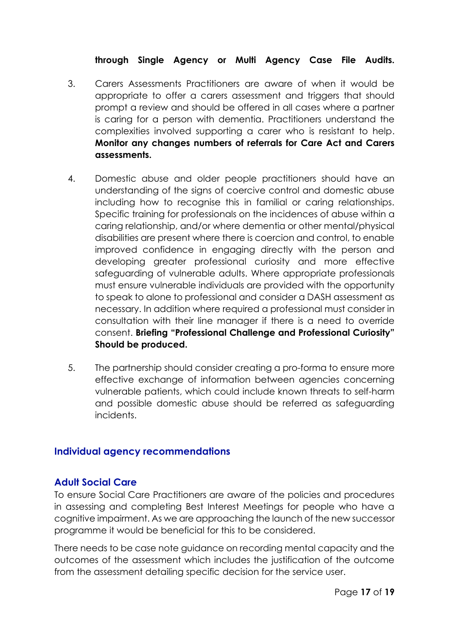# **through Single Agency or Multi Agency Case File Audits.**

- 3. Carers Assessments Practitioners are aware of when it would be appropriate to offer a carers assessment and triggers that should prompt a review and should be offered in all cases where a partner is caring for a person with dementia. Practitioners understand the complexities involved supporting a carer who is resistant to help. **Monitor any changes numbers of referrals for Care Act and Carers assessments.**
- 4. Domestic abuse and older people practitioners should have an understanding of the signs of coercive control and domestic abuse including how to recognise this in familial or caring relationships. Specific training for professionals on the incidences of abuse within a caring relationship, and/or where dementia or other mental/physical disabilities are present where there is coercion and control, to enable improved confidence in engaging directly with the person and developing greater professional curiosity and more effective safeguarding of vulnerable adults. Where appropriate professionals must ensure vulnerable individuals are provided with the opportunity to speak to alone to professional and consider a DASH assessment as necessary. In addition where required a professional must consider in consultation with their line manager if there is a need to override consent. **Briefing "Professional Challenge and Professional Curiosity" Should be produced.**
- 5. The partnership should consider creating a pro-forma to ensure more effective exchange of information between agencies concerning vulnerable patients, which could include known threats to self-harm and possible domestic abuse should be referred as safeguarding incidents.

# **Individual agency recommendations**

# **Adult Social Care**

To ensure Social Care Practitioners are aware of the policies and procedures in assessing and completing Best Interest Meetings for people who have a cognitive impairment. As we are approaching the launch of the new successor programme it would be beneficial for this to be considered.

There needs to be case note guidance on recording mental capacity and the outcomes of the assessment which includes the justification of the outcome from the assessment detailing specific decision for the service user.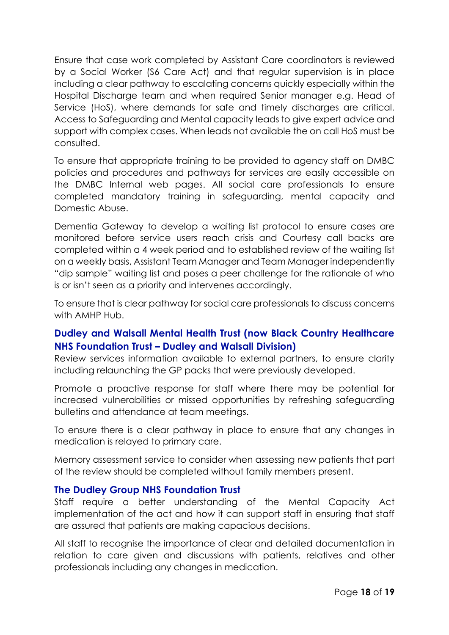Ensure that case work completed by Assistant Care coordinators is reviewed by a Social Worker (S6 Care Act) and that regular supervision is in place including a clear pathway to escalating concerns quickly especially within the Hospital Discharge team and when required Senior manager e.g. Head of Service (HoS), where demands for safe and timely discharges are critical. Access to Safeguarding and Mental capacity leads to give expert advice and support with complex cases. When leads not available the on call HoS must be consulted.

To ensure that appropriate training to be provided to agency staff on DMBC policies and procedures and pathways for services are easily accessible on the DMBC Internal web pages. All social care professionals to ensure completed mandatory training in safeguarding, mental capacity and Domestic Abuse.

Dementia Gateway to develop a waiting list protocol to ensure cases are monitored before service users reach crisis and Courtesy call backs are completed within a 4 week period and to established review of the waiting list on a weekly basis, Assistant Team Manager and Team Manager independently "dip sample" waiting list and poses a peer challenge for the rationale of who is or isn't seen as a priority and intervenes accordingly.

To ensure that is clear pathway for social care professionals to discuss concerns with AMHP Hub.

# **Dudley and Walsall Mental Health Trust (now Black Country Healthcare NHS Foundation Trust – Dudley and Walsall Division)**

Review services information available to external partners, to ensure clarity including relaunching the GP packs that were previously developed.

Promote a proactive response for staff where there may be potential for increased vulnerabilities or missed opportunities by refreshing safeguarding bulletins and attendance at team meetings.

To ensure there is a clear pathway in place to ensure that any changes in medication is relayed to primary care.

Memory assessment service to consider when assessing new patients that part of the review should be completed without family members present.

# **The Dudley Group NHS Foundation Trust**

Staff require a better understanding of the Mental Capacity Act implementation of the act and how it can support staff in ensuring that staff are assured that patients are making capacious decisions.

All staff to recognise the importance of clear and detailed documentation in relation to care given and discussions with patients, relatives and other professionals including any changes in medication.